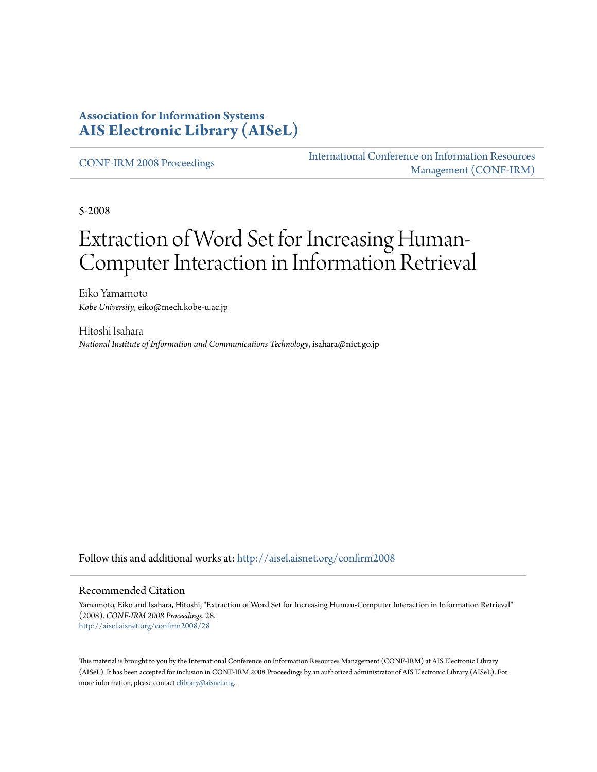#### **Association for Information Systems [AIS Electronic Library \(AISeL\)](http://aisel.aisnet.org?utm_source=aisel.aisnet.org%2Fconfirm2008%2F28&utm_medium=PDF&utm_campaign=PDFCoverPages)**

[CONF-IRM 2008 Proceedings](http://aisel.aisnet.org/confirm2008?utm_source=aisel.aisnet.org%2Fconfirm2008%2F28&utm_medium=PDF&utm_campaign=PDFCoverPages)

[International Conference on Information Resources](http://aisel.aisnet.org/conf-irm?utm_source=aisel.aisnet.org%2Fconfirm2008%2F28&utm_medium=PDF&utm_campaign=PDFCoverPages) [Management \(CONF-IRM\)](http://aisel.aisnet.org/conf-irm?utm_source=aisel.aisnet.org%2Fconfirm2008%2F28&utm_medium=PDF&utm_campaign=PDFCoverPages)

5-2008

# Extraction of Word Set for Increasing Human-Computer Interaction in Information Retrieval

Eiko Yamamoto *Kobe University*, eiko@mech.kobe-u.ac.jp

Hitoshi Isahara *National Institute of Information and Communications Technology*, isahara@nict.go.jp

Follow this and additional works at: [http://aisel.aisnet.org/confirm2008](http://aisel.aisnet.org/confirm2008?utm_source=aisel.aisnet.org%2Fconfirm2008%2F28&utm_medium=PDF&utm_campaign=PDFCoverPages)

#### Recommended Citation

Yamamoto, Eiko and Isahara, Hitoshi, "Extraction of Word Set for Increasing Human-Computer Interaction in Information Retrieval" (2008). *CONF-IRM 2008 Proceedings*. 28. [http://aisel.aisnet.org/confirm2008/28](http://aisel.aisnet.org/confirm2008/28?utm_source=aisel.aisnet.org%2Fconfirm2008%2F28&utm_medium=PDF&utm_campaign=PDFCoverPages)

This material is brought to you by the International Conference on Information Resources Management (CONF-IRM) at AIS Electronic Library (AISeL). It has been accepted for inclusion in CONF-IRM 2008 Proceedings by an authorized administrator of AIS Electronic Library (AISeL). For more information, please contact [elibrary@aisnet.org.](mailto:elibrary@aisnet.org%3E)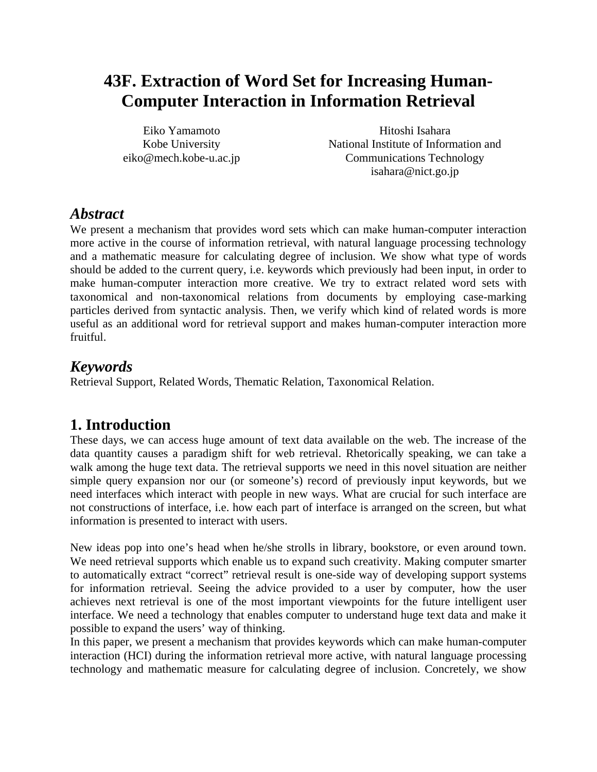## **43F. Extraction of Word Set for Increasing Human-Computer Interaction in Information Retrieval**

Eiko Yamamoto Kobe University eiko@mech.kobe-u.ac.jp

Hitoshi Isahara National Institute of Information and Communications Technology isahara@nict.go.jp

### *Abstract*

We present a mechanism that provides word sets which can make human-computer interaction more active in the course of information retrieval, with natural language processing technology and a mathematic measure for calculating degree of inclusion. We show what type of words should be added to the current query, i.e. keywords which previously had been input, in order to make human-computer interaction more creative. We try to extract related word sets with taxonomical and non-taxonomical relations from documents by employing case-marking particles derived from syntactic analysis. Then, we verify which kind of related words is more useful as an additional word for retrieval support and makes human-computer interaction more fruitful.

### *Keywords*

Retrieval Support, Related Words, Thematic Relation, Taxonomical Relation.

### **1. Introduction**

These days, we can access huge amount of text data available on the web. The increase of the data quantity causes a paradigm shift for web retrieval. Rhetorically speaking, we can take a walk among the huge text data. The retrieval supports we need in this novel situation are neither simple query expansion nor our (or someone's) record of previously input keywords, but we need interfaces which interact with people in new ways. What are crucial for such interface are not constructions of interface, i.e. how each part of interface is arranged on the screen, but what information is presented to interact with users.

New ideas pop into one's head when he/she strolls in library, bookstore, or even around town. We need retrieval supports which enable us to expand such creativity. Making computer smarter to automatically extract "correct" retrieval result is one-side way of developing support systems for information retrieval. Seeing the advice provided to a user by computer, how the user achieves next retrieval is one of the most important viewpoints for the future intelligent user interface. We need a technology that enables computer to understand huge text data and make it possible to expand the users' way of thinking.

In this paper, we present a mechanism that provides keywords which can make human-computer interaction (HCI) during the information retrieval more active, with natural language processing technology and mathematic measure for calculating degree of inclusion. Concretely, we show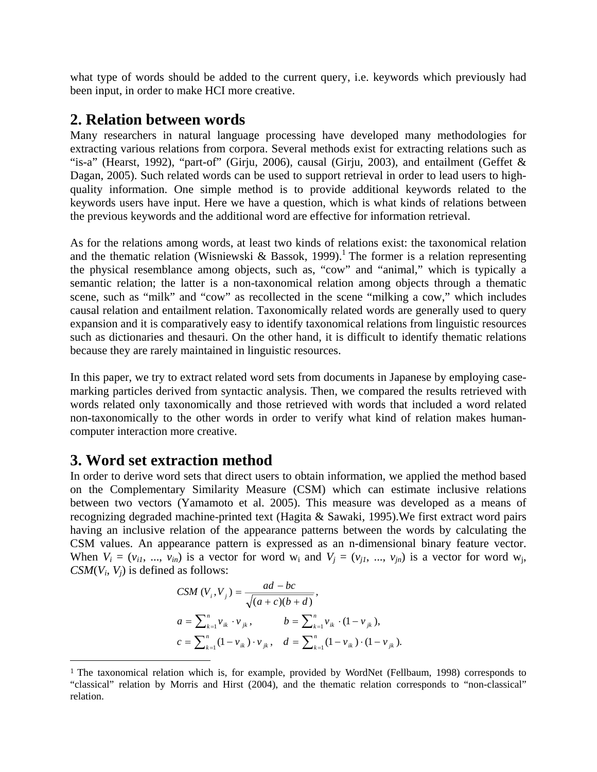what type of words should be added to the current query, i.e. keywords which previously had been input, in order to make HCI more creative.

#### **2. Relation between words**

Many researchers in natural language processing have developed many methodologies for extracting various relations from corpora. Several methods exist for extracting relations such as "is-a" (Hearst, 1992), "part-of" (Girju, 2006), causal (Girju, 2003), and entailment (Geffet & Dagan, 2005). Such related words can be used to support retrieval in order to lead users to highquality information. One simple method is to provide additional keywords related to the keywords users have input. Here we have a question, which is what kinds of relations between the previous keywords and the additional word are effective for information retrieval.

As for the relations among words, at least two kinds of relations exist: the taxonomical relation and the thematic relation (Wisniewski & Bassok, 1999).<sup>1</sup> The former is a relation representing the physical resemblance among objects, such as, "cow" and "animal," which is typically a semantic relation; the latter is a non-taxonomical relation among objects through a thematic scene, such as "milk" and "cow" as recollected in the scene "milking a cow," which includes causal relation and entailment relation. Taxonomically related words are generally used to query expansion and it is comparatively easy to identify taxonomical relations from linguistic resources such as dictionaries and thesauri. On the other hand, it is difficult to identify thematic relations because they are rarely maintained in linguistic resources.

In this paper, we try to extract related word sets from documents in Japanese by employing casemarking particles derived from syntactic analysis. Then, we compared the results retrieved with words related only taxonomically and those retrieved with words that included a word related non-taxonomically to the other words in order to verify what kind of relation makes humancomputer interaction more creative.

#### **3. Word set extraction method**

 $\overline{a}$ 

In order to derive word sets that direct users to obtain information, we applied the method based on the Complementary Similarity Measure (CSM) which can estimate inclusive relations between two vectors (Yamamoto et al. 2005). This measure was developed as a means of recognizing degraded machine-printed text (Hagita & Sawaki, 1995).We first extract word pairs having an inclusive relation of the appearance patterns between the words by calculating the CSM values. An appearance pattern is expressed as an n-dimensional binary feature vector. When  $V_i = (v_{i1}, ..., v_{in})$  is a vector for word  $w_i$  and  $V_j = (v_{i1}, ..., v_{in})$  is a vector for word  $w_j$ , *CSM*( $V_i$ ,  $V_j$ ) is defined as follows:

$$
CSM (V_i, V_j) = \frac{ad - bc}{\sqrt{(a + c)(b + d)}},
$$
  
\n
$$
a = \sum_{k=1}^n v_{ik} \cdot v_{jk}, \qquad b = \sum_{k=1}^n v_{ik} \cdot (1 - v_{jk}),
$$
  
\n
$$
c = \sum_{k=1}^n (1 - v_{ik}) \cdot v_{jk}, \quad d = \sum_{k=1}^n (1 - v_{ik}) \cdot (1 - v_{jk}).
$$

<sup>&</sup>lt;sup>1</sup> The taxonomical relation which is, for example, provided by WordNet (Fellbaum, 1998) corresponds to "classical" relation by Morris and Hirst (2004), and the thematic relation corresponds to "non-classical" relation.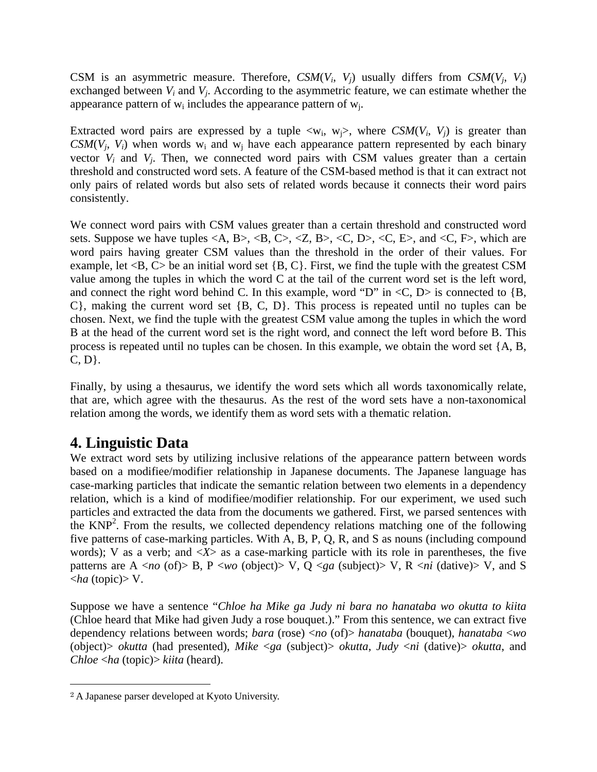CSM is an asymmetric measure. Therefore,  $CSM(V_i, V_j)$  usually differs from  $CSM(V_i, V_i)$ exchanged between *Vi* and *Vj*. According to the asymmetric feature, we can estimate whether the appearance pattern of  $w_i$  includes the appearance pattern of  $w_i$ .

Extracted word pairs are expressed by a tuple  $\langle w_i, w_i \rangle$ , where *CSM*( $V_i$ ,  $V_j$ ) is greater than *CSM*( $V_i$ ,  $V_i$ ) when words  $w_i$  and  $w_j$  have each appearance pattern represented by each binary vector  $V_i$  and  $V_j$ . Then, we connected word pairs with CSM values greater than a certain threshold and constructed word sets. A feature of the CSM-based method is that it can extract not only pairs of related words but also sets of related words because it connects their word pairs consistently.

We connect word pairs with CSM values greater than a certain threshold and constructed word sets. Suppose we have tuples  $\langle A, B \rangle$ ,  $\langle B, C \rangle$ ,  $\langle Z, B \rangle$ ,  $\langle C, D \rangle$ ,  $\langle C, E \rangle$ , and  $\langle C, F \rangle$ , which are word pairs having greater CSM values than the threshold in the order of their values. For example, let  $\langle B, C \rangle$  be an initial word set  $\{B, C\}$ . First, we find the tuple with the greatest CSM value among the tuples in which the word C at the tail of the current word set is the left word, and connect the right word behind C. In this example, word "D" in  $\langle C, D \rangle$  is connected to  $\{B, D\}$ C}, making the current word set {B, C, D}. This process is repeated until no tuples can be chosen. Next, we find the tuple with the greatest CSM value among the tuples in which the word B at the head of the current word set is the right word, and connect the left word before B. This process is repeated until no tuples can be chosen. In this example, we obtain the word set {A, B,  $C, D$ .

Finally, by using a thesaurus, we identify the word sets which all words taxonomically relate, that are, which agree with the thesaurus. As the rest of the word sets have a non-taxonomical relation among the words, we identify them as word sets with a thematic relation.

### **4. Linguistic Data**

We extract word sets by utilizing inclusive relations of the appearance pattern between words based on a modifiee/modifier relationship in Japanese documents. The Japanese language has case-marking particles that indicate the semantic relation between two elements in a dependency relation, which is a kind of modifiee/modifier relationship. For our experiment, we used such particles and extracted the data from the documents we gathered. First, we parsed sentences with the  $KNP<sup>2</sup>$ . From the results, we collected dependency relations matching one of the following five patterns of case-marking particles. With A, B, P, Q, R, and S as nouns (including compound words); V as a verb; and  $\langle X \rangle$  as a case-marking particle with its role in parentheses, the five patterns are A <*no* (of)> B, P <*wo* (object)> V, Q <*ga* (subject)> V, R <*ni* (dative)> V, and S <*ha* (topic)> V.

Suppose we have a sentence "*Chloe ha Mike ga Judy ni bara no hanataba wo okutta to kiita* (Chloe heard that Mike had given Judy a rose bouquet.)." From this sentence, we can extract five dependency relations between words; *bara* (rose) <*no* (of)> *hanataba* (bouquet), *hanataba* <*wo* (object)> *okutta* (had presented), *Mike* <*ga* (subject)> *okutta*, *Judy* <*ni* (dative)> *okutta*, and *Chloe* <*ha* (topic)> *kiita* (heard).

 $\overline{a}$ 

<sup>2</sup> A Japanese parser developed at Kyoto University.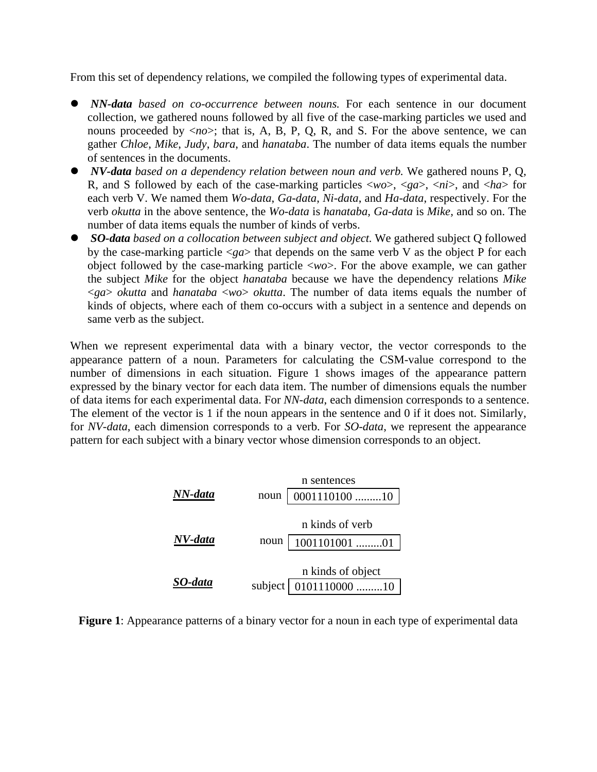From this set of dependency relations, we compiled the following types of experimental data.

- *NN-data based on co-occurrence between nouns*. For each sentence in our document collection, we gathered nouns followed by all five of the case-marking particles we used and nouns proceeded by <*no*>; that is, A, B, P, Q, R, and S. For the above sentence, we can gather *Chloe*, *Mike*, *Judy*, *bara*, and *hanataba*. The number of data items equals the number of sentences in the documents.
- z *NV-data based on a dependency relation between noun and verb.* We gathered nouns P, Q, R, and S followed by each of the case-marking particles <*wo*>, <*ga*>, <*ni*>, and <*ha*> for each verb V. We named them *Wo-data*, *Ga-data*, *Ni-data*, and *Ha-data*, respectively. For the verb *okutta* in the above sentence, the *Wo-data* is *hanataba, Ga-data* is *Mike,* and so on. The number of data items equals the number of kinds of verbs.
- *SO-data* based on a collocation between subject and object. We gathered subject Q followed by the case-marking particle <*ga*> that depends on the same verb V as the object P for each object followed by the case-marking particle <*wo*>. For the above example, we can gather the subject *Mike* for the object *hanataba* because we have the dependency relations *Mike* <*ga*> *okutta* and *hanataba* <*wo*> *okutta*. The number of data items equals the number of kinds of objects, where each of them co-occurs with a subject in a sentence and depends on same verb as the subject.

When we represent experimental data with a binary vector, the vector corresponds to the appearance pattern of a noun. Parameters for calculating the CSM-value correspond to the number of dimensions in each situation. Figure 1 shows images of the appearance pattern expressed by the binary vector for each data item. The number of dimensions equals the number of data items for each experimental data. For *NN-data*, each dimension corresponds to a sentence. The element of the vector is 1 if the noun appears in the sentence and 0 if it does not. Similarly, for *NV-data*, each dimension corresponds to a verb. For *SO-data*, we represent the appearance pattern for each subject with a binary vector whose dimension corresponds to an object.

|         | n sentences       |                 |
|---------|-------------------|-----------------|
| NN-data | noun              | 0001110100 10   |
|         |                   |                 |
|         | n kinds of verb   |                 |
| NV-data | noun              | 1001101001 01   |
|         |                   |                 |
|         | n kinds of object |                 |
| SO-data | subject           | $0101110000$ 10 |

**Figure 1**: Appearance patterns of a binary vector for a noun in each type of experimental data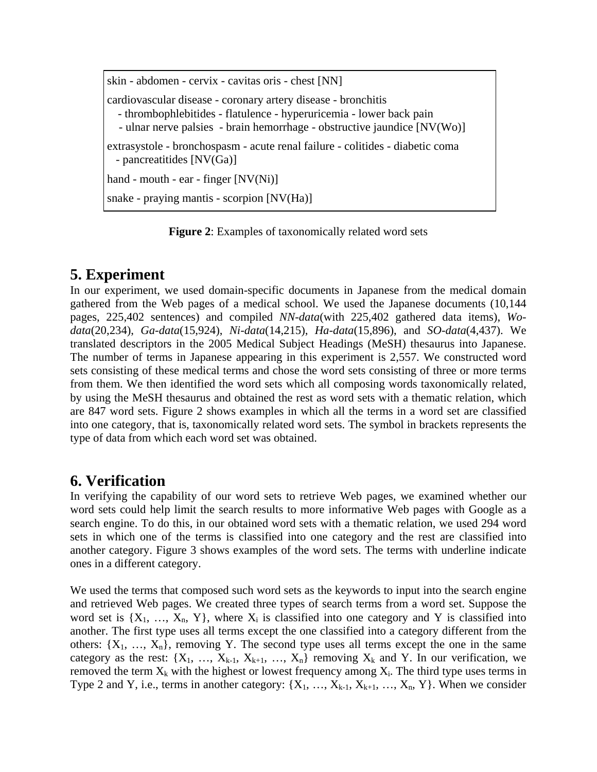skin - abdomen - cervix - cavitas oris - chest [NN] cardiovascular disease - coronary artery disease - bronchitis - thrombophlebitides - flatulence - hyperuricemia - lower back pain - ulnar nerve palsies - brain hemorrhage - obstructive jaundice [NV(Wo)] extrasystole - bronchospasm - acute renal failure - colitides - diabetic coma - pancreatitides [NV(Ga)] hand - mouth - ear - finger [NV(Ni)] snake - praying mantis - scorpion [NV(Ha)]

**Figure 2**: Examples of taxonomically related word sets

### **5. Experiment**

In our experiment, we used domain-specific documents in Japanese from the medical domain gathered from the Web pages of a medical school. We used the Japanese documents (10,144 pages, 225,402 sentences) and compiled *NN-data*(with 225,402 gathered data items), *Wodata*(20,234), *Ga-data*(15,924), *Ni-data*(14,215), *Ha-data*(15,896), and *SO-data*(4,437). We translated descriptors in the 2005 Medical Subject Headings (MeSH) thesaurus into Japanese. The number of terms in Japanese appearing in this experiment is 2,557. We constructed word sets consisting of these medical terms and chose the word sets consisting of three or more terms from them. We then identified the word sets which all composing words taxonomically related, by using the MeSH thesaurus and obtained the rest as word sets with a thematic relation, which are 847 word sets. Figure 2 shows examples in which all the terms in a word set are classified into one category, that is, taxonomically related word sets. The symbol in brackets represents the type of data from which each word set was obtained.

### **6. Verification**

In verifying the capability of our word sets to retrieve Web pages, we examined whether our word sets could help limit the search results to more informative Web pages with Google as a search engine. To do this, in our obtained word sets with a thematic relation, we used 294 word sets in which one of the terms is classified into one category and the rest are classified into another category. Figure 3 shows examples of the word sets. The terms with underline indicate ones in a different category.

We used the terms that composed such word sets as the keywords to input into the search engine and retrieved Web pages. We created three types of search terms from a word set. Suppose the word set is  $\{X_1, \ldots, X_n, Y\}$ , where  $X_i$  is classified into one category and Y is classified into another. The first type uses all terms except the one classified into a category different from the others:  $\{X_1, \ldots, X_n\}$ , removing Y. The second type uses all terms except the one in the same category as the rest:  $\{X_1, \ldots, X_{k-1}, X_{k+1}, \ldots, X_n\}$  removing  $X_k$  and Y. In our verification, we removed the term  $X_k$  with the highest or lowest frequency among  $X_i$ . The third type uses terms in Type 2 and Y, i.e., terms in another category:  $\{X_1, \ldots, X_{k-1}, X_{k+1}, \ldots, X_n, Y\}$ . When we consider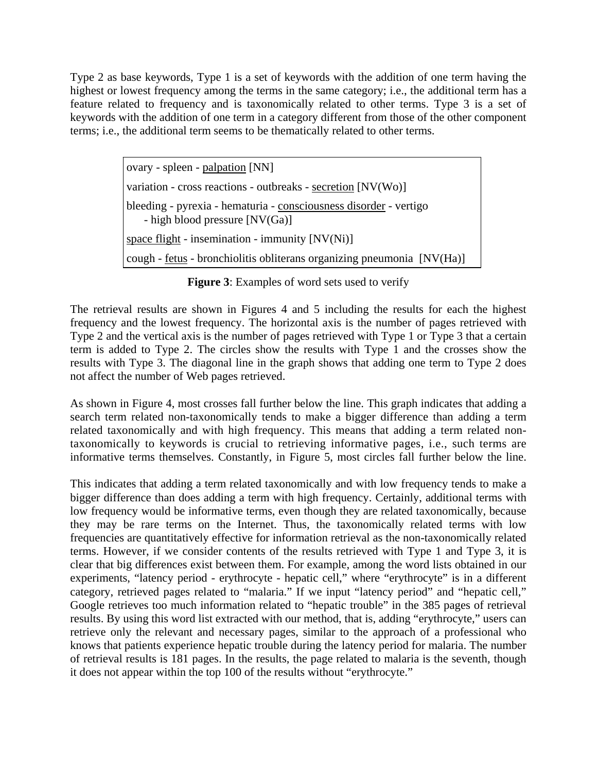Type 2 as base keywords, Type 1 is a set of keywords with the addition of one term having the highest or lowest frequency among the terms in the same category; i.e., the additional term has a feature related to frequency and is taxonomically related to other terms. Type 3 is a set of keywords with the addition of one term in a category different from those of the other component terms; i.e., the additional term seems to be thematically related to other terms.

> ovary - spleen - palpation [NN] variation - cross reactions - outbreaks - secretion [NV(Wo)] bleeding - pyrexia - hematuria - consciousness disorder - vertigo - high blood pressure [NV(Ga)] space flight - insemination - immunity [NV(Ni)] cough - fetus - bronchiolitis obliterans organizing pneumonia [NV(Ha)]

#### **Figure 3**: Examples of word sets used to verify

The retrieval results are shown in Figures 4 and 5 including the results for each the highest frequency and the lowest frequency. The horizontal axis is the number of pages retrieved with Type 2 and the vertical axis is the number of pages retrieved with Type 1 or Type 3 that a certain term is added to Type 2. The circles show the results with Type 1 and the crosses show the results with Type 3. The diagonal line in the graph shows that adding one term to Type 2 does not affect the number of Web pages retrieved.

As shown in Figure 4, most crosses fall further below the line. This graph indicates that adding a search term related non-taxonomically tends to make a bigger difference than adding a term related taxonomically and with high frequency. This means that adding a term related nontaxonomically to keywords is crucial to retrieving informative pages, i.e., such terms are informative terms themselves. Constantly, in Figure 5, most circles fall further below the line.

This indicates that adding a term related taxonomically and with low frequency tends to make a bigger difference than does adding a term with high frequency. Certainly, additional terms with low frequency would be informative terms, even though they are related taxonomically, because they may be rare terms on the Internet. Thus, the taxonomically related terms with low frequencies are quantitatively effective for information retrieval as the non-taxonomically related terms. However, if we consider contents of the results retrieved with Type 1 and Type 3, it is clear that big differences exist between them. For example, among the word lists obtained in our experiments, "latency period - erythrocyte - hepatic cell," where "erythrocyte" is in a different category, retrieved pages related to "malaria." If we input "latency period" and "hepatic cell," Google retrieves too much information related to "hepatic trouble" in the 385 pages of retrieval results. By using this word list extracted with our method, that is, adding "erythrocyte," users can retrieve only the relevant and necessary pages, similar to the approach of a professional who knows that patients experience hepatic trouble during the latency period for malaria. The number of retrieval results is 181 pages. In the results, the page related to malaria is the seventh, though it does not appear within the top 100 of the results without "erythrocyte."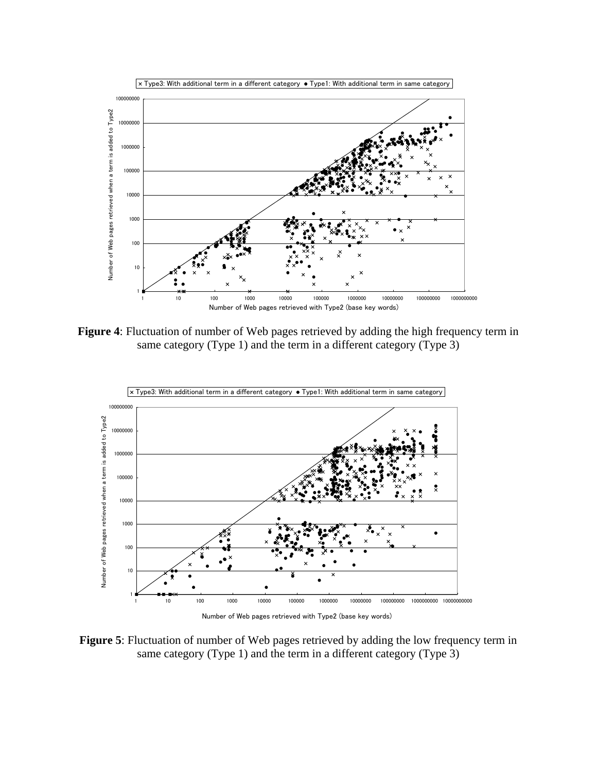

**Figure 4**: Fluctuation of number of Web pages retrieved by adding the high frequency term in same category (Type 1) and the term in a different category (Type 3)



Number of Web pages retrieved with Type2 (base key words)

**Figure 5**: Fluctuation of number of Web pages retrieved by adding the low frequency term in same category (Type 1) and the term in a different category (Type 3)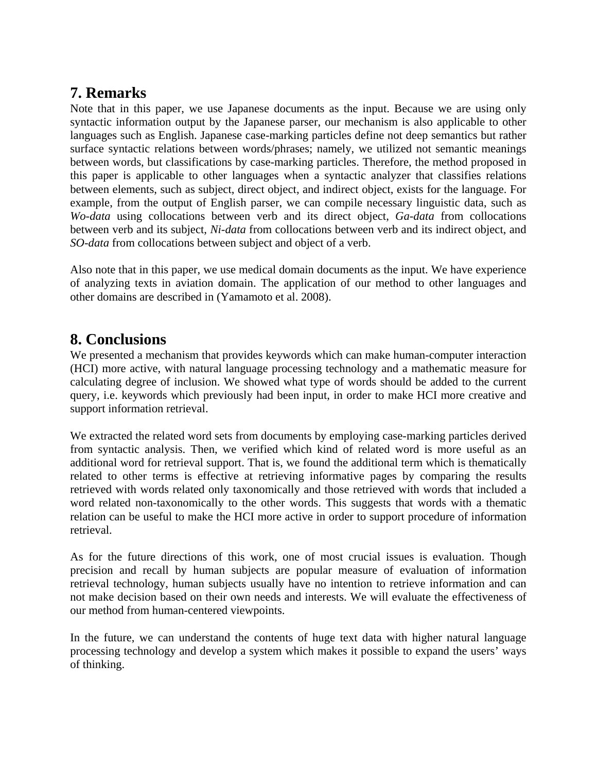### **7. Remarks**

Note that in this paper, we use Japanese documents as the input. Because we are using only syntactic information output by the Japanese parser, our mechanism is also applicable to other languages such as English. Japanese case-marking particles define not deep semantics but rather surface syntactic relations between words/phrases; namely, we utilized not semantic meanings between words, but classifications by case-marking particles. Therefore, the method proposed in this paper is applicable to other languages when a syntactic analyzer that classifies relations between elements, such as subject, direct object, and indirect object, exists for the language. For example, from the output of English parser, we can compile necessary linguistic data, such as *Wo-data* using collocations between verb and its direct object, *Ga-data* from collocations between verb and its subject, *Ni-data* from collocations between verb and its indirect object, and *SO-data* from collocations between subject and object of a verb.

Also note that in this paper, we use medical domain documents as the input. We have experience of analyzing texts in aviation domain. The application of our method to other languages and other domains are described in (Yamamoto et al. 2008).

#### **8. Conclusions**

We presented a mechanism that provides keywords which can make human-computer interaction (HCI) more active, with natural language processing technology and a mathematic measure for calculating degree of inclusion. We showed what type of words should be added to the current query, i.e. keywords which previously had been input, in order to make HCI more creative and support information retrieval.

We extracted the related word sets from documents by employing case-marking particles derived from syntactic analysis. Then, we verified which kind of related word is more useful as an additional word for retrieval support. That is, we found the additional term which is thematically related to other terms is effective at retrieving informative pages by comparing the results retrieved with words related only taxonomically and those retrieved with words that included a word related non-taxonomically to the other words. This suggests that words with a thematic relation can be useful to make the HCI more active in order to support procedure of information retrieval.

As for the future directions of this work, one of most crucial issues is evaluation. Though precision and recall by human subjects are popular measure of evaluation of information retrieval technology, human subjects usually have no intention to retrieve information and can not make decision based on their own needs and interests. We will evaluate the effectiveness of our method from human-centered viewpoints.

In the future, we can understand the contents of huge text data with higher natural language processing technology and develop a system which makes it possible to expand the users' ways of thinking.